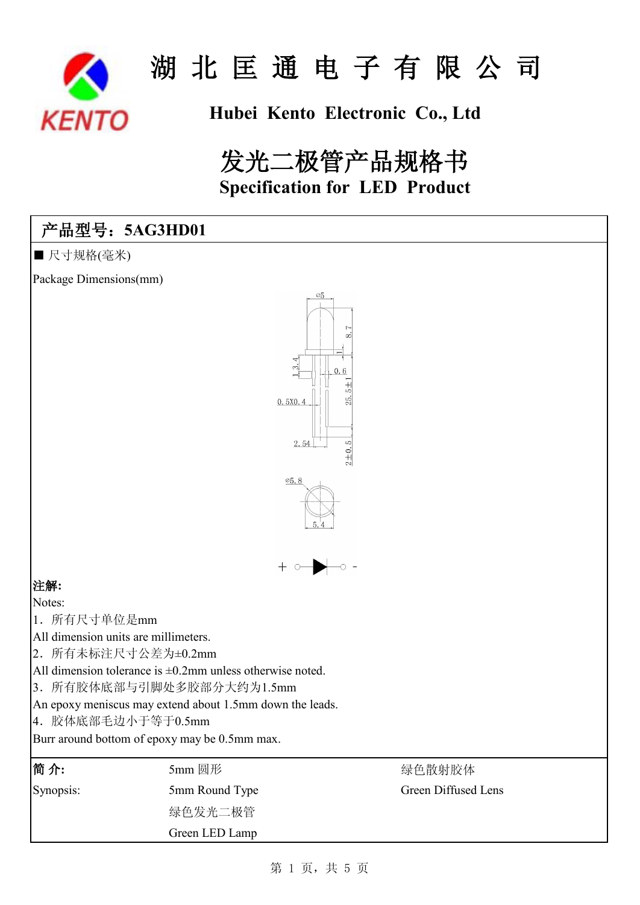

## **Hubei Kento Electronic Co., Ltd**

# 发光二极管产品规格书 **Specification for LED Product**

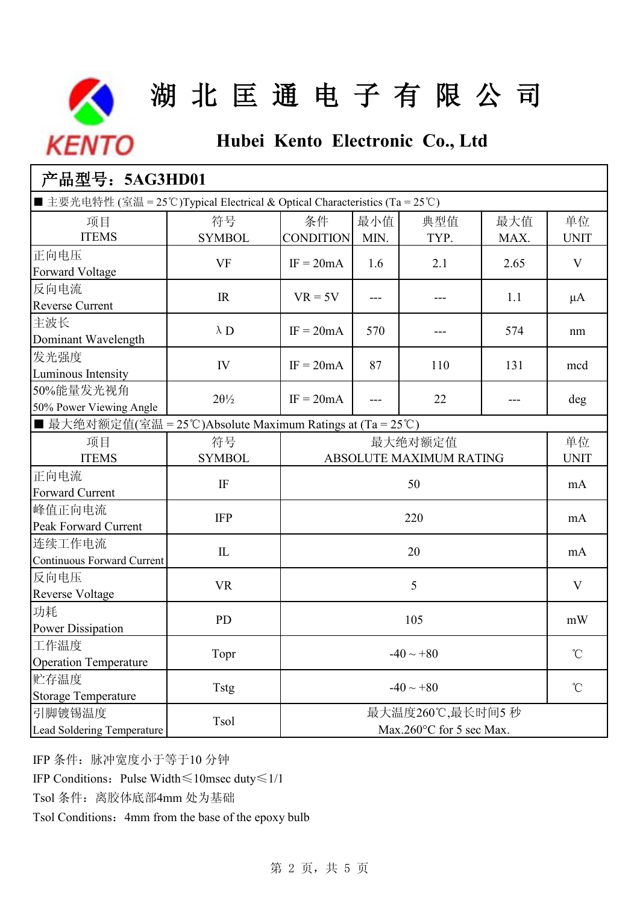

## **Hubei Kento Electronic Co., Ltd**

| 产品型号: 5AG3HD01                                                              |                      |                        |                                             |             |              |                   |
|-----------------------------------------------------------------------------|----------------------|------------------------|---------------------------------------------|-------------|--------------|-------------------|
| ■主要光电特性 (室温 = 25°C)Typical Electrical & Optical Characteristics (Ta = 25°C) |                      |                        |                                             |             |              |                   |
| 项目<br><b>ITEMS</b>                                                          | 符号<br><b>SYMBOL</b>  | 条件<br><b>CONDITION</b> | 最小值<br>MIN.                                 | 典型值<br>TYP. | 最大值<br>MAX.  | 单位<br><b>UNIT</b> |
| 正向电压<br>Forward Voltage                                                     | <b>VF</b>            | $IF = 20mA$            | 1.6                                         | 2.1         | 2.65         | V                 |
| 反向电流<br>Reverse Current                                                     | IR                   | $VR = 5V$              | ---                                         | ---         | 1.1          | $\mu$ A           |
| 主波长<br>Dominant Wavelength                                                  | $\lambda$ D          | $IF = 20mA$            | 570                                         |             | 574          | nm                |
| 发光强度<br>Luminous Intensity                                                  | IV                   | $IF = 20mA$            | 87                                          | 110         | 131          | mcd               |
| 50%能量发光视角<br>50% Power Viewing Angle                                        | $2\theta\frac{1}{2}$ | $IF = 20mA$            | ---                                         | 22          |              | deg               |
| ■ 最大绝对额定值(室温 = 25℃)Absolute Maximum Ratings at (Ta = 25℃)                   |                      |                        |                                             |             |              |                   |
| 项目<br><b>ITEMS</b>                                                          | 符号<br><b>SYMBOL</b>  |                        | 最大绝对额定值<br>ABSOLUTE MAXIMUM RATING          |             |              | 单位<br><b>UNIT</b> |
| 正向电流<br>Forward Current                                                     | IF                   |                        | 50                                          |             |              | mA                |
| 峰值正向电流<br>Peak Forward Current                                              | <b>IFP</b>           |                        | 220                                         |             |              | mA                |
| 连续工作电流<br>Continuous Forward Current                                        | ${\rm I\!L}$         |                        | 20                                          |             |              | mA                |
| 反向电压<br><b>Reverse Voltage</b>                                              | <b>VR</b>            |                        | 5                                           |             |              | V                 |
| 功耗<br><b>Power Dissipation</b>                                              | <b>PD</b>            | 105                    |                                             |             | mW           |                   |
| 工作温度<br><b>Operation Temperature</b>                                        | Topr                 | $-40 \sim +80$         |                                             |             | $\rm ^{o}C$  |                   |
| 贮存温度<br><b>Storage Temperature</b>                                          | Tstg                 | $-40 \sim +80$         |                                             |             | $^{\circ}$ C |                   |
| 引脚镀锡温度<br>Lead Soldering Temperature                                        | Tsol                 |                        | 最大温度260℃,最长时间5秒<br>Max.260°C for 5 sec Max. |             |              |                   |

IFP 条件:脉冲宽度小于等于10 分钟

IFP Conditions:Pulse Width≤10msec duty≤1/10

Tsol 条件: 离胶体底部4mm 处为基础

Tsol Conditions: 4mm from the base of the epoxy bulb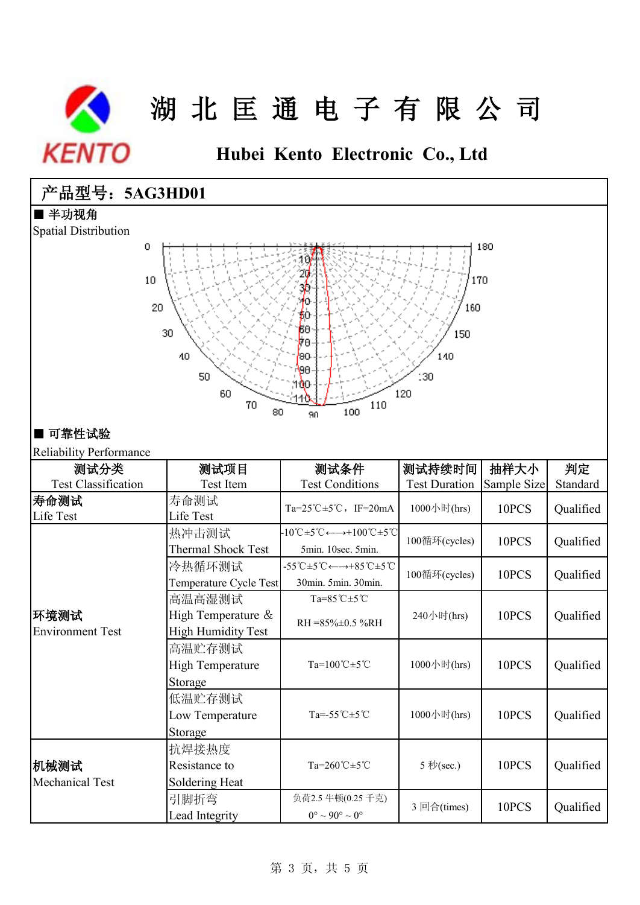

**Hubei Kento Electronic Co., Ltd**

## 产品型号:**5AG3HD01**

#### ■ 半功视角

Spatial Distribution



### ■ 可靠性试验

### Reliability Performance

| 测试分类                            | 测试项目                      | 测试条件                                                                                                          | 测试持续时间               | 抽样大小        | 判定        |  |
|---------------------------------|---------------------------|---------------------------------------------------------------------------------------------------------------|----------------------|-------------|-----------|--|
| <b>Test Classification</b>      | Test Item                 | <b>Test Conditions</b>                                                                                        | <b>Test Duration</b> | Sample Size | Standard  |  |
| 寿命测试                            | 寿命测试                      | Ta=25°C $\pm$ 5°C, IF=20mA                                                                                    | 1000小时(hrs)          | 10PCS       | Qualified |  |
| Life Test                       | Life Test                 |                                                                                                               |                      |             |           |  |
| 环境测试<br><b>Environment Test</b> | 热冲击测试                     | $-10^{\circ}\text{C} \pm 5^{\circ}\text{C} \leftarrow \rightarrow +100^{\circ}\text{C} \pm 5^{\circ}\text{C}$ | 100循环(cycles)        | 10PCS       | Qualified |  |
|                                 | <b>Thermal Shock Test</b> | 5min. 10sec. 5min.                                                                                            |                      |             |           |  |
|                                 | 冷热循环测试                    | -55 °C $\pm$ 5 °C $\leftarrow$ $\rightarrow$ +85 °C $\pm$ 5 °C                                                | 100循环(cycles)        | 10PCS       | Qualified |  |
|                                 | Temperature Cycle Test    | 30min. 5min. 30min.                                                                                           |                      |             |           |  |
|                                 | 高温高湿测试                    | Ta= $85^{\circ}$ C $\pm 5^{\circ}$ C                                                                          | 240小时(hrs)           | 10PCS       | Qualified |  |
|                                 | High Temperature &        | $RH = 85\% \pm 0.5\% RH$                                                                                      |                      |             |           |  |
|                                 | <b>High Humidity Test</b> |                                                                                                               |                      |             |           |  |
|                                 | 高温贮存测试                    |                                                                                                               |                      |             |           |  |
|                                 | High Temperature          | $Ta=100^{\circ}C \pm 5^{\circ}C$                                                                              | 1000小时(hrs)          | 10PCS       | Qualified |  |
|                                 | Storage                   |                                                                                                               |                      |             |           |  |
|                                 | 低温贮存测试                    |                                                                                                               | 1000小时(hrs)          | 10PCS       | Qualified |  |
|                                 | Low Temperature           | Ta= $-55^{\circ}$ C $\pm 5^{\circ}$ C                                                                         |                      |             |           |  |
|                                 | Storage                   |                                                                                                               |                      |             |           |  |
| 机械测试<br><b>Mechanical Test</b>  | 抗焊接热度                     |                                                                                                               | 5 秒(sec.)            | 10PCS       | Qualified |  |
|                                 | Resistance to             | $Ta=260^{\circ}C\pm5^{\circ}C$                                                                                |                      |             |           |  |
|                                 | Soldering Heat            |                                                                                                               |                      |             |           |  |
|                                 | 引脚折弯                      | 负荷2.5 牛顿(0.25 千克)                                                                                             | 3 回合(times)          | 10PCS       | Qualified |  |
|                                 | Lead Integrity            | $0^{\circ} \sim 90^{\circ} \sim 0^{\circ}$                                                                    |                      |             |           |  |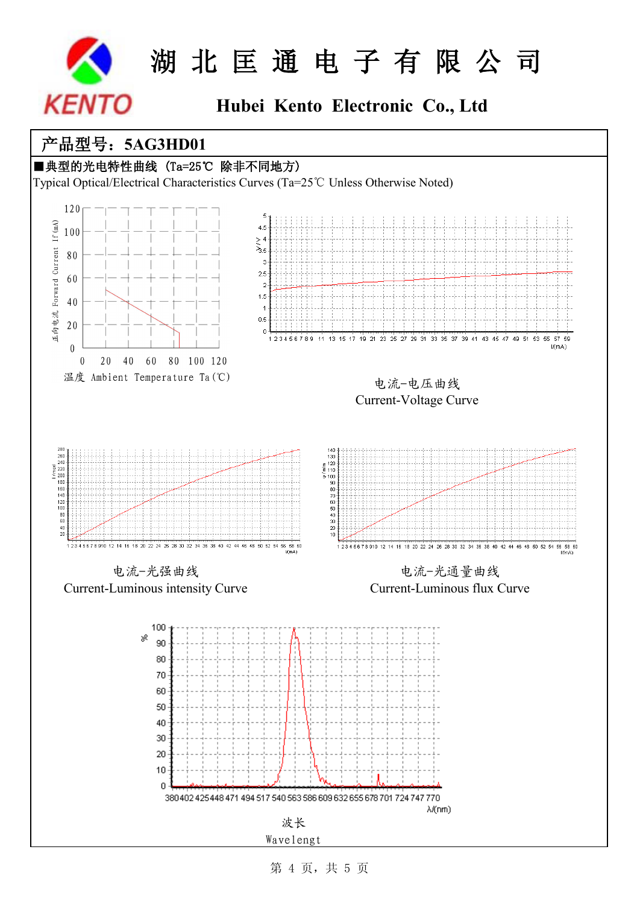

## **Hubei Kento Electronic Co., Ltd**

### 产品型号:**5AG3HD01**



波长 Wavelengt

第 4 页,共 5 页